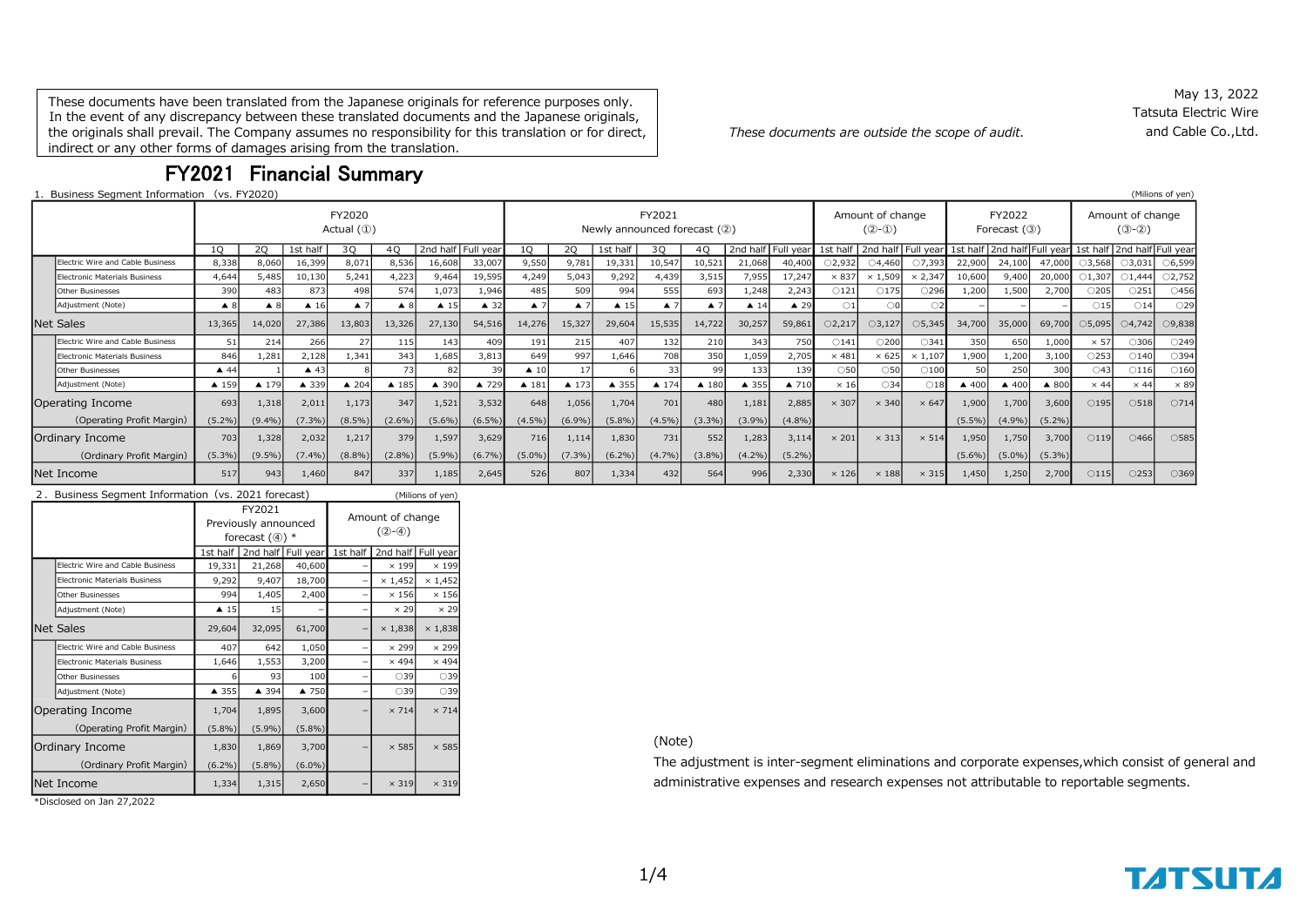These documents have been translated from the Japanese originals for reference purposes only. In the event of any discrepancy between these translated documents and the Japanese originals, the originals shall prevail. The Company assumes no responsibility for this translation or for direct, indirect or any other forms of damages arising from the translation.

FY2021 Financial Summary

1. Business Segment Information (vs. FY2020) (Milions of yen)

| <b>BUSINESS SEGINENT INTOITMENT (VS. FYZUZU)</b> |                    |                                 |                |                    |                    |                     |                    |                                        |                    |                     |                      |                    |                |                             |                |                                 |                  |                 |                             |           |                |                                  | (PIIIUIIS UI YEII) |
|--------------------------------------------------|--------------------|---------------------------------|----------------|--------------------|--------------------|---------------------|--------------------|----------------------------------------|--------------------|---------------------|----------------------|--------------------|----------------|-----------------------------|----------------|---------------------------------|------------------|-----------------|-----------------------------|-----------|----------------|----------------------------------|--------------------|
|                                                  |                    | FY2020<br>Actual $(\mathbb{O})$ |                |                    |                    |                     |                    | FY2021<br>Newly announced forecast (2) |                    |                     |                      |                    |                | Amount of change<br>$(2-0)$ |                | FY2022<br>Forecast $(3)$        |                  |                 | Amount of change<br>$(③-②)$ |           |                |                                  |                    |
|                                                  | 10 <sup>2</sup>    | 20                              | 1st half       | 30                 | 40                 |                     | 2nd half Full year | $10^{-1}$                              | 20                 | 1st half            | 30                   | 40                 |                | 2nd half Full year          |                | 1st half   2nd half   Full year |                  |                 | 1st half   2nd half Full    |           |                | year 1st half 2nd half Full year |                    |
| Electric Wire and Cable Business                 | 8,338              | 8,060                           | 16,399         | 8,071              | 8,536              | 16,608              | 33,007             | 9,550                                  | 9.781              | 19,331              | 10,547               | 10,521             | 21,068         | 40,400                      | ○2,932         | $\bigcirc$ 4,460                | O7,393           | 22,900          | 24,100                      | 47,000    | 3,568          | $\bigcirc$ 3,031                 | $\circ$ 6,599      |
| <b>Electronic Materials Business</b>             | 4,644              | 5.485                           | 10,130         | 5.241              | 4,223              | 9,464               | 19,595             | 4,249                                  | 5,043              | 9,292               | 4,439                | 3,515              | 7,955          | 17,247                      | $\times 837$   | $\times$ 1,509                  | $\times$ 2,347   | 10,600          | 9,400                       | 20,000    | 01,307         | $\bigcirc$ 1,444                 | O2,752             |
| <b>Other Businesses</b>                          | 390                | 483                             | 873            | 498                | 574                | 1,073               | 1,946              | 485                                    | 509                | 994                 | 555                  | 693                | 1,248          | 2,243                       | $\bigcirc$ 121 | $\bigcirc$ 175                  | ○296             | 1,200           | 1,500                       | 2,700     | $\bigcirc$ 205 | $\bigcirc$ 251                   | $\bigcirc$ 456     |
| Adjustment (Note)                                | $\blacktriangle$ 8 | $\blacktriangle$ 8              | $\triangle$ 16 | $\blacktriangle$ 7 | $\blacktriangle$ 8 | $\blacktriangle$ 15 | $\triangle$ 32     | $\blacktriangle$ 7                     | $\blacktriangle$ 7 | $\blacktriangle$ 15 | $\blacktriangle$ 7   | $\blacktriangle$ 7 | $\triangle$ 14 | $\triangle$ 29              | $\bigcirc$ 1   |                                 |                  |                 |                             |           | $\bigcirc$ 15  | $\bigcirc$ 14                    | $\bigcirc$ 29      |
| <b>Net Sales</b>                                 | 13,365             | 14,020                          | 27,386         | 13,803             | 13,326             | 27,130              | 54,516             | 14,276                                 | 15,327             | 29,604              | 15,535               | 14,722             | 30,257         | 59,861                      | O2,217         | $\bigcirc$ 3,127                | $\bigcirc$ 5,345 | 34,700          | 35,000                      | 69,700    | 05,095         | $\bigcirc$ 4,742                 | O9,838             |
| Electric Wire and Cable Business                 | 51                 | 214                             | 266            | $\overline{2}$     | 115                | 143                 | 409                | 191                                    | 215                | 407                 | 132                  | 210                | 343            | 750                         | $\bigcirc$ 141 | $\circ$ 200                     | $\bigcirc$ 341   | 350             | 650                         | 1,000     | $\times$ 57    | ○306                             | O249               |
| <b>Electronic Materials Business</b>             | 846                | 1,281                           | 2,128          | 1,341              | 343                | 1,685               | 3,813              | 649                                    | 997                | 1,646               | 708                  | 350                | 1,059          | 2,705                       | $\times$ 481   | $\times$ 625                    | $\times$ 1,107   | 1,900           | 1,200                       | 3,100     | 253            | $\bigcirc$ 140                   | $\bigcirc$ 394     |
| <b>Other Businesses</b>                          | $\triangle$ 44     |                                 | $\triangle$ 43 |                    | 73                 | 82                  |                    | $\triangle$ 10                         | 17                 |                     | 33                   | 99                 | 133            | 139                         | $\circ$ 50     | $\circ$ 50                      | $\bigcirc$ 100   |                 | 250                         | 300       | ○43            | $\bigcirc$ 116                   | $\bigcirc$ 160     |
| Adjustment (Note)                                | ▲ 159              | ▲ 179                           | ▲ 339          | $\triangle$ 204    | ▲ 185              | $\triangle$ 390     | ▲ 729              | $\blacktriangle$ 181                   | $\triangle$ 173    | ▲ 355               | $\blacktriangle$ 174 | $\triangle$ 180    | ▲ 355          | ▲ 710                       | $\times$ 16    | $\bigcirc$ 34                   | $\bigcirc$ 18    | $\triangle$ 400 | ▲ 400                       | ▲ 800     | $\times$ 44    | $\times$ 44                      | $\times 89$        |
| Operating Income                                 | 693                | 1,318                           | 2,011          | 1,173              | 347                | 1,521               | 3,532              | 648                                    | 1,056              | 1,704               | 701                  | 480                | 1,181          | 2,885                       | $\times$ 307   | $\times$ 340                    | $\times 647$     | 1,900           | 1,700                       | 3,600     | $\bigcirc$ 195 | $\bigcirc$ 518                   | O714               |
| (Operating Profit Margin)                        | $(5.2\%)$          | $(9.4\%)$                       | $(7.3\%)$      | (8.5%)             | $(2.6\%)$          | $(5.6\%)$           | $(6.5\%)$          | $(4.5\%)$                              | $(6.9\%)$          | $(5.8\%)$           | $(4.5\%)$            | $(3.3\%)$          | $(3.9\%)$      | $(4.8\%)$                   |                |                                 |                  | $(5.5\%)$       | $(4.9\%)$                   | $(5.2\%)$ |                |                                  |                    |
| Ordinary Income                                  | 703                | 1,328                           | 2,032          | 1,217              | 379                | 1,597               | 3,629              | 716                                    | 1,114              | 1,830               | 731                  | 552                | 1,283          | 3,114                       | $\times$ 201   | $\times$ 313                    | $\times$ 514     | 1,950           | 1,750                       | 3,700     | $\bigcirc$ 119 | $\bigcirc$ 466                   | ○585               |
| (Ordinary Profit Margin)                         | $(5.3\%)$          | $(9.5\%)$                       | $(7.4\%)$      | (8.8%)             | $(2.8\%)$          | $(5.9\%)$           | $(6.7\%)$          | $(5.0\%)$                              | $(7.3\%)$          | $(6.2\%)$           | $(4.7\%)$            | $(3.8\%)$          | $(4.2\%)$      | $(5.2\%)$                   |                |                                 |                  | $(5.6\%)$       | $(5.0\%)$                   | $(5.3\%)$ |                |                                  |                    |
| Net Income                                       | 517                | 943                             | 1,460          | 847                | 337                | 1,185               | 2,645              | 526                                    | 807                | 1,334               | 432                  | 564                | 996            | 2,330                       | $\times$ 126   | $\times$ 188                    | $\times$ 315     | 1,450           | 1,250                       | 2,700     | $\bigcirc$ 115 | $\bigcirc$ 253                   | ○369               |

| 2. Business Segment Information (vs. 2021 forecast)<br>(Milions of yen) |                                      |                     |                                                    |                    |                             |                |                    |  |  |
|-------------------------------------------------------------------------|--------------------------------------|---------------------|----------------------------------------------------|--------------------|-----------------------------|----------------|--------------------|--|--|
|                                                                         |                                      |                     | FY2021<br>Previously announced<br>forecast $(4)$ * |                    | Amount of change<br>$(2-4)$ |                |                    |  |  |
|                                                                         |                                      | 1st half            |                                                    | 2nd half Full year | 1st half                    |                | 2nd half Full year |  |  |
|                                                                         | Electric Wire and Cable Business     | 19,331              | 21,268                                             | 40,600             |                             | $\times$ 199   | $\times$ 199       |  |  |
|                                                                         | <b>Electronic Materials Business</b> | 9,292               | 9,407                                              | 18,700             |                             | $\times$ 1,452 | $\times$ 1,452     |  |  |
|                                                                         | <b>Other Businesses</b>              | 994                 | 1,405                                              | 2,400              |                             | $\times$ 156   | $\times$ 156       |  |  |
|                                                                         | Adjustment (Note)                    | $\blacktriangle$ 15 | 15                                                 |                    |                             | $\times$ 29    | $\times$ 29        |  |  |
|                                                                         | Net Sales                            | 29,604              | 32,095                                             | 61,700             |                             | $\times$ 1,838 | $\times$ 1,838     |  |  |
|                                                                         | Electric Wire and Cable Business     | 407                 | 642                                                | 1,050              |                             | $\times$ 299   | $\times$ 299       |  |  |
|                                                                         | <b>Electronic Materials Business</b> | 1,646               | 1,553                                              | 3,200              |                             | $\times$ 494   | $\times$ 494       |  |  |
|                                                                         | Other Businesses                     | 6                   | 93                                                 | 100                |                             | ○39            | $\bigcirc$ 39      |  |  |
|                                                                         | Adjustment (Note)                    | ▲ 355               | ▲ 394                                              | ▲ 750              |                             | ○39            | $\bigcirc$ 39      |  |  |
|                                                                         | Operating Income                     | 1,704               | 1,895                                              | 3,600              |                             | $\times$ 714   | $\times 714$       |  |  |
|                                                                         | (Operating Profit Margin)            | $(5.8\%)$           | (5.9%)                                             | $(5.8\%)$          |                             |                |                    |  |  |
|                                                                         | Ordinary Income                      | 1,830               | 1,869                                              | 3,700              |                             | $\times 585$   | $\times 585$       |  |  |
|                                                                         | (Ordinary Profit Margin)             | $(6.2\%)$           | $(5.8\%)$                                          | $(6.0\%)$          |                             |                |                    |  |  |
|                                                                         | <b>I</b> Net Income                  | 1,334               | 1,315                                              | 2,650              |                             | $\times$ 319   | $\times$ 319       |  |  |

\*Disclosed on Jan 27,2022

*These documents are outside the scope of audit.*

May 13, 2022 Tatsuta Electric Wire and Cable Co.,Ltd.

(Note)

The adjustment is inter-segment eliminations and corporate expenses,which consist of general and administrative expenses and research expenses not attributable to reportable segments.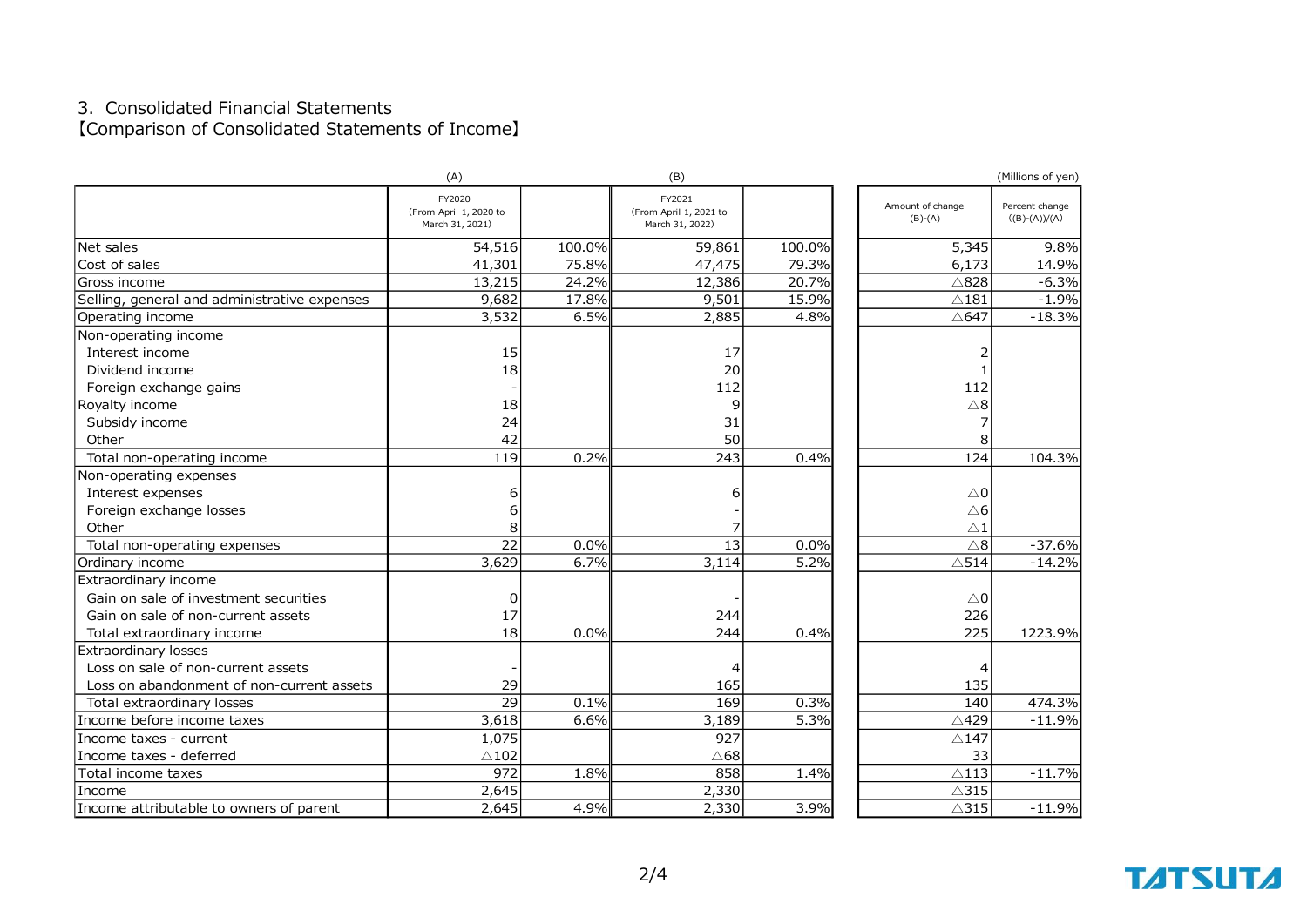### 3.Consolidated Financial Statements 【Comparison of Consolidated Statements of Income】

|                                              | (A)                                                 |        | (B)                                                 |        |                               | (Millions of yen)                 |
|----------------------------------------------|-----------------------------------------------------|--------|-----------------------------------------------------|--------|-------------------------------|-----------------------------------|
|                                              | FY2020<br>(From April 1, 2020 to<br>March 31, 2021) |        | FY2021<br>(From April 1, 2021 to<br>March 31, 2022) |        | Amount of change<br>$(B)-(A)$ | Percent change<br>$((B)-(A))/(A)$ |
| Net sales                                    | 54,516                                              | 100.0% | 59,861                                              | 100.0% | 5,345                         | 9.8%                              |
| Cost of sales                                | 41,301                                              | 75.8%  | 47,475                                              | 79.3%  | 6,173                         | 14.9%                             |
| Gross income                                 | 13,215                                              | 24.2%  | 12,386                                              | 20.7%  | $\triangle$ 828               | $-6.3%$                           |
| Selling, general and administrative expenses | 9,682                                               | 17.8%  | 9,501                                               | 15.9%  | $\triangle$ 181               | $-1.9%$                           |
| Operating income                             | 3,532                                               | 6.5%   | 2,885                                               | 4.8%   | △647                          | $-18.3%$                          |
| Non-operating income                         |                                                     |        |                                                     |        |                               |                                   |
| Interest income                              | 15                                                  |        | 17                                                  |        | 2                             |                                   |
| Dividend income                              | 18                                                  |        | 20                                                  |        |                               |                                   |
| Foreign exchange gains                       |                                                     |        | 112                                                 |        | 112                           |                                   |
| Royalty income                               | 18                                                  |        | 9                                                   |        | $\triangle 8$                 |                                   |
| Subsidy income                               | 24                                                  |        | 31                                                  |        |                               |                                   |
| Other                                        | 42                                                  |        | 50                                                  |        | 8                             |                                   |
| Total non-operating income                   | 119                                                 | 0.2%   | 243                                                 | 0.4%   | 124                           | 104.3%                            |
| Non-operating expenses                       |                                                     |        |                                                     |        |                               |                                   |
| Interest expenses                            | 6                                                   |        | 6                                                   |        | $\triangle 0$                 |                                   |
| Foreign exchange losses                      | 6                                                   |        |                                                     |        | $\triangle 6$                 |                                   |
| Other                                        | 8                                                   |        |                                                     |        | $\triangle$ 1                 |                                   |
| Total non-operating expenses                 | $\overline{22}$                                     | 0.0%   | 13                                                  | 0.0%   | $\triangle 8$                 | $-37.6%$                          |
| Ordinary income                              | 3,629                                               | 6.7%   | 3,114                                               | 5.2%   | $\triangle$ 514               | $-14.2%$                          |
| Extraordinary income                         |                                                     |        |                                                     |        |                               |                                   |
| Gain on sale of investment securities        | 0                                                   |        |                                                     |        | $\triangle 0$                 |                                   |
| Gain on sale of non-current assets           | 17                                                  |        | 244                                                 |        | 226                           |                                   |
| Total extraordinary income                   | $\overline{18}$                                     | 0.0%   | 244                                                 | 0.4%   | 225                           | 1223.9%                           |
| Extraordinary losses                         |                                                     |        |                                                     |        |                               |                                   |
| Loss on sale of non-current assets           |                                                     |        |                                                     |        |                               |                                   |
| Loss on abandonment of non-current assets    | 29                                                  |        | 165                                                 |        | 135                           |                                   |
| Total extraordinary losses                   | 29                                                  | 0.1%   | 169                                                 | 0.3%   | 140                           | 474.3%                            |
| Income before income taxes                   | 3,618                                               | 6.6%   | 3,189                                               | 5.3%   | △429                          | $-11.9%$                          |
| Income taxes - current                       | 1,075                                               |        | 927                                                 |        | $\triangle$ 147               |                                   |
| Income taxes - deferred                      | $\triangle$ 102                                     |        | $\triangle$ 68                                      |        | 33                            |                                   |
| Total income taxes                           | 972                                                 | 1.8%   | 858                                                 | 1.4%   | $\triangle$ 113               | $-11.7%$                          |
| Income                                       | 2,645                                               |        | 2,330                                               |        | $\triangle$ 315               |                                   |
| Income attributable to owners of parent      | 2,645                                               | 4.9%   | 2,330                                               | 3.9%   | $\triangle$ 315               | $-11.9%$                          |

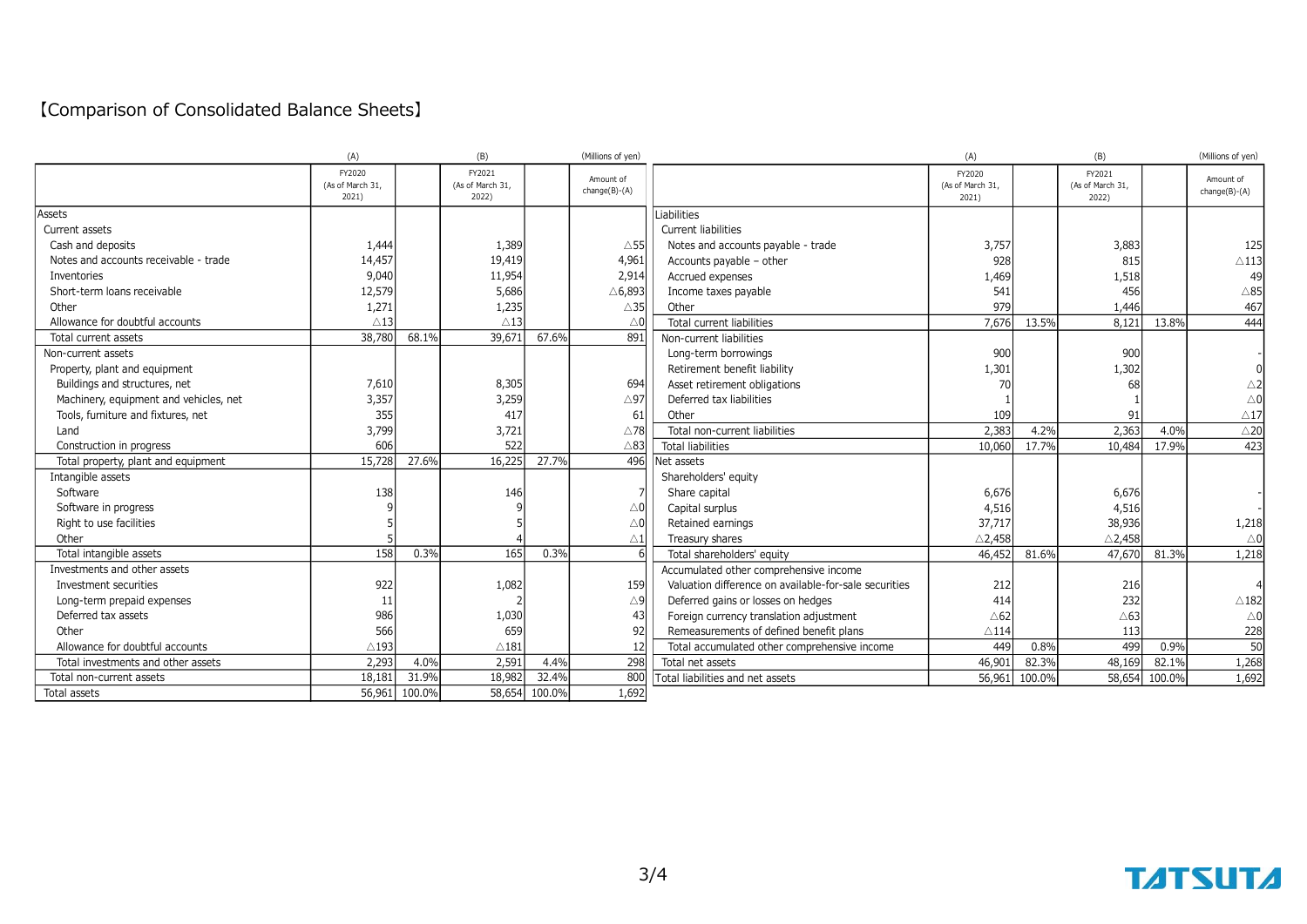## 【Comparison of Consolidated Balance Sheets】

|                                        | (A)                                 |        | (B)                                 |               | (Millions of yen)            |                                                       | (A)                                 |        | (B)                                 |        | (Millions of yen)            |
|----------------------------------------|-------------------------------------|--------|-------------------------------------|---------------|------------------------------|-------------------------------------------------------|-------------------------------------|--------|-------------------------------------|--------|------------------------------|
|                                        | FY2020<br>(As of March 31,<br>2021) |        | FY2021<br>(As of March 31,<br>2022) |               | Amount of<br>$change(B)-(A)$ |                                                       | FY2020<br>(As of March 31,<br>2021) |        | FY2021<br>(As of March 31,<br>2022) |        | Amount of<br>$change(B)-(A)$ |
| Assets                                 |                                     |        |                                     |               |                              | Liabilities                                           |                                     |        |                                     |        |                              |
| Current assets                         |                                     |        |                                     |               |                              | <b>Current liabilities</b>                            |                                     |        |                                     |        |                              |
| Cash and deposits                      | 1,444                               |        | 1,389                               |               | $\triangle$ 55               | Notes and accounts payable - trade                    | 3,757                               |        | 3,883                               |        | 125                          |
| Notes and accounts receivable - trade  | 14,457                              |        | 19,419                              |               | 4,961                        | Accounts payable - other                              | 928                                 |        | 815                                 |        | $\triangle$ 113              |
| Inventories                            | 9,040                               |        | 11,954                              |               | 2,914                        | Accrued expenses                                      | 1,469                               |        | 1,518                               |        | 49                           |
| Short-term loans receivable            | 12,579                              |        | 5,686                               |               | △6,893                       | Income taxes payable                                  | 541                                 |        | 456                                 |        | $\triangle 85$               |
| Other                                  | 1,271                               |        | 1,235                               |               | $\triangle$ 35               | Other                                                 | 979                                 |        | 1,446                               |        | 467                          |
| Allowance for doubtful accounts        | $\triangle$ 13                      |        | $\triangle$ 13                      |               | $\triangle 0$                | <b>Total current liabilities</b>                      | 7,676                               | 13.5%  | 8,121                               | 13.8%  | 444                          |
| Total current assets                   | 38,780                              | 68.1%  | 39,671                              | 67.6%         | 891                          | Non-current liabilities                               |                                     |        |                                     |        |                              |
| Non-current assets                     |                                     |        |                                     |               |                              | Long-term borrowings                                  | 900                                 |        | 900                                 |        |                              |
| Property, plant and equipment          |                                     |        |                                     |               |                              | Retirement benefit liability                          | 1,301                               |        | 1,302                               |        |                              |
| Buildings and structures, net          | 7,610                               |        | 8,305                               |               | 694                          | Asset retirement obligations                          | 70                                  |        | 68                                  |        | $\triangle$ 2                |
| Machinery, equipment and vehicles, net | 3,357                               |        | 3,259                               |               | $\triangle$ 97               | Deferred tax liabilities                              |                                     |        |                                     |        | $\triangle$ 0                |
| Tools, furniture and fixtures, net     | 355                                 |        | 417                                 |               | 61                           | Other                                                 | 109                                 |        | 91                                  |        | $\triangle$ 17               |
| Land                                   | 3,799                               |        | 3,721                               |               | $\triangle$ 78               | Total non-current liabilities                         | 2,383                               | 4.2%   | 2,363                               | 4.0%   | $\triangle 20$               |
| Construction in progress               | 606                                 |        | 522                                 |               | $\triangle$ 83               | <b>Total liabilities</b>                              | 10,060                              | 17.7%  | 10,484                              | 17.9%  | 423                          |
| Total property, plant and equipment    | 15,728                              | 27.6%  | 16,225                              | 27.7%         | 496                          | Net assets                                            |                                     |        |                                     |        |                              |
| Intangible assets                      |                                     |        |                                     |               |                              | Shareholders' equity                                  |                                     |        |                                     |        |                              |
| Software                               | 138                                 |        | 146                                 |               |                              | Share capital                                         | 6,676                               |        | 6,676                               |        |                              |
| Software in progress                   |                                     |        |                                     |               | $\triangle 0$                | Capital surplus                                       | 4,516                               |        | 4,516                               |        |                              |
| Right to use facilities                |                                     |        |                                     |               | $\triangle 0$                | Retained earnings                                     | 37,717                              |        | 38,936                              |        | 1,218                        |
| Other                                  |                                     |        |                                     |               | $\triangle 1$                | Treasury shares                                       | $\triangle$ 2,458                   |        | $\triangle$ 2,458                   |        | $\triangle$ 0                |
| Total intangible assets                | 158                                 | 0.3%   | 165                                 | 0.3%          |                              | Total shareholders' equity                            | 46,452                              | 81.6%  | 47,670                              | 81.3%  | 1,218                        |
| Investments and other assets           |                                     |        |                                     |               |                              | Accumulated other comprehensive income                |                                     |        |                                     |        |                              |
| Investment securities                  | 922                                 |        | 1,082                               |               | 159                          | Valuation difference on available-for-sale securities | 212                                 |        | 216                                 |        |                              |
| Long-term prepaid expenses             | 11                                  |        |                                     |               | $\triangle$ 9                | Deferred gains or losses on hedges                    | 414                                 |        | 232                                 |        | $\triangle$ 182              |
| Deferred tax assets                    | 986                                 |        | 1,030                               |               | 43                           | Foreign currency translation adjustment               | $\triangle 62$                      |        | $\triangle 63$                      |        | $\triangle 0$                |
| Other                                  | 566                                 |        | 659                                 |               | 92                           | Remeasurements of defined benefit plans               | $\triangle$ 114                     |        | 113                                 |        | 228                          |
| Allowance for doubtful accounts        | $\triangle$ 193                     |        | $\triangle$ 181                     |               | 12                           | Total accumulated other comprehensive income          | 449                                 | 0.8%   | 499                                 | 0.9%   | 50                           |
| Total investments and other assets     | 2,293                               | 4.0%   | 2,591                               | 4.4%          | 298                          | Total net assets                                      | 46,901                              | 82.3%  | 48,169                              | 82.1%  | 1,268                        |
| Total non-current assets               | 18,181                              | 31.9%  | 18,982                              | 32.4%         | 800                          | Total liabilities and net assets                      | 56,961                              | 100.0% | 58,654                              | 100.0% | 1,692                        |
| Total assets                           | 56,961                              | 100.0% |                                     | 58,654 100.0% | 1,692                        |                                                       |                                     |        |                                     |        |                              |